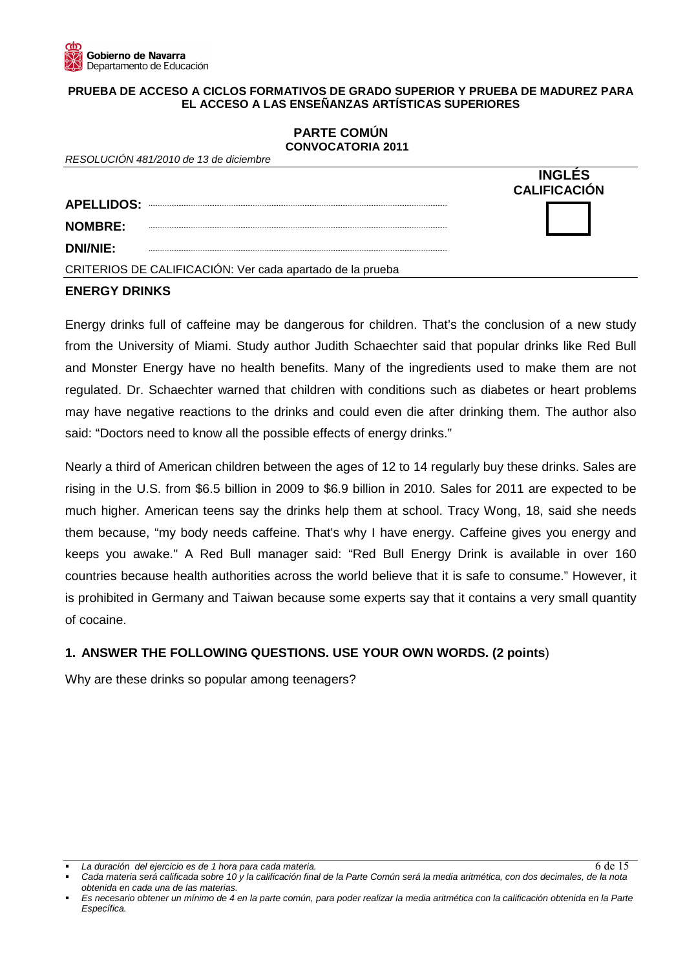## **PRUEBA DE ACCESO A CICLOS FORMATIVOS DE GRADO SUPERIOR Y PRUEBA DE MADUREZ PARA EL ACCESO A LAS ENSEÑANZAS ARTÍSTICAS SUPERIORES**

## **PARTE COMÚN CONVOCATORIA 2011**

| RESOLUCIÓN 481/2010 de 13 de diciembre                    |                                      |
|-----------------------------------------------------------|--------------------------------------|
|                                                           | <b>INGLES</b><br><b>CALIFICACIÓN</b> |
| <b>APELLIDOS:</b>                                         |                                      |
| <b>NOMBRE:</b>                                            |                                      |
| <b>DNI/NIE:</b>                                           |                                      |
| CRITERIOS DE CALIFICACIÓN: Ver cada apartado de la prueba |                                      |

### **ENERGY DRINKS**

Energy drinks full of caffeine may be dangerous for children. That's the conclusion of a new study from the University of Miami. Study author Judith Schaechter said that popular drinks like Red Bull and Monster Energy have no health benefits. Many of the ingredients used to make them are not regulated. Dr. Schaechter warned that children with conditions such as diabetes or heart problems may have negative reactions to the drinks and could even die after drinking them. The author also said: "Doctors need to know all the possible effects of energy drinks."

Nearly a third of American children between the ages of 12 to 14 regularly buy these drinks. Sales are rising in the U.S. from \$6.5 billion in 2009 to \$6.9 billion in 2010. Sales for 2011 are expected to be much higher. American teens say the drinks help them at school. Tracy Wong, 18, said she needs them because, "my body needs caffeine. That's why I have energy. Caffeine gives you energy and keeps you awake." A Red Bull manager said: "Red Bull Energy Drink is available in over 160 countries because health authorities across the world believe that it is safe to consume." However, it is prohibited in Germany and Taiwan because some experts say that it contains a very small quantity of cocaine.

# **1. ANSWER THE FOLLOWING QUESTIONS. USE YOUR OWN WORDS. (2 points**)

Why are these drinks so popular among teenagers?

La duración del ejercicio es de 1 hora para cada materia.

Cada materia será calificada sobre 10 y la calificación final de la Parte Común será la media aritmética, con dos decimales, de la nota obtenida en cada una de las materias.

Es necesario obtener un mínimo de 4 en la parte común, para poder realizar la media aritmética con la calificación obtenida en la Parte Específica.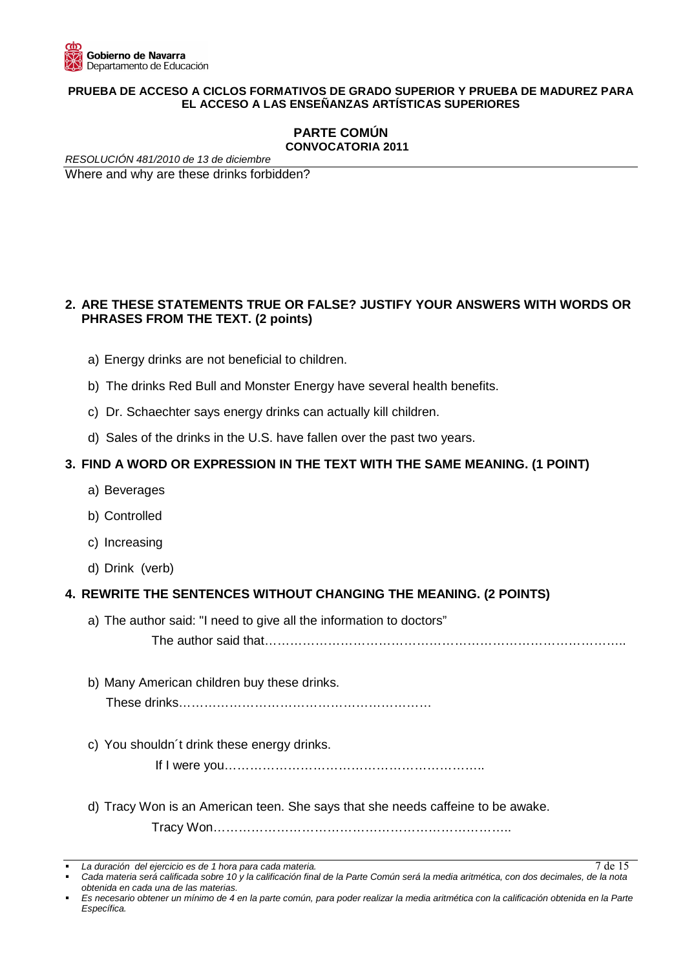

#### **PRUEBA DE ACCESO A CICLOS FORMATIVOS DE GRADO SUPERIOR Y PRUEBA DE MADUREZ PARA EL ACCESO A LAS ENSEÑANZAS ARTÍSTICAS SUPERIORES**

### **PARTE COMÚN CONVOCATORIA 2011**

RESOLUCIÓN 481/2010 de 13 de diciembre Where and why are these drinks forbidden?

# **2. ARE THESE STATEMENTS TRUE OR FALSE? JUSTIFY YOUR ANSWERS WITH WORDS OR PHRASES FROM THE TEXT. (2 points)**

- a) Energy drinks are not beneficial to children.
- b) The drinks Red Bull and Monster Energy have several health benefits.
- c) Dr. Schaechter says energy drinks can actually kill children.
- d) Sales of the drinks in the U.S. have fallen over the past two years.

### **3. FIND A WORD OR EXPRESSION IN THE TEXT WITH THE SAME MEANING. (1 POINT)**

- a) Beverages
- b) Controlled
- c) Increasing
- d) Drink (verb)

## **4. REWRITE THE SENTENCES WITHOUT CHANGING THE MEANING. (2 POINTS)**

a) The author said: "I need to give all the information to doctors"

The author said that…………………………………………………………………………..

b) Many American children buy these drinks.

These drinks……………………………………………………

c) You shouldn´t drink these energy drinks.

If I were you……………………………………………………..

d) Tracy Won is an American teen. She says that she needs caffeine to be awake.

Tracy Won……………………………………………………………..

La duración del ejercicio es de 1 hora para cada materia.

Cada materia será calificada sobre 10 y la calificación final de la Parte Común será la media aritmética, con dos decimales, de la nota obtenida en cada una de las materias.

Es necesario obtener un mínimo de 4 en la parte común, para poder realizar la media aritmética con la calificación obtenida en la Parte Específica.